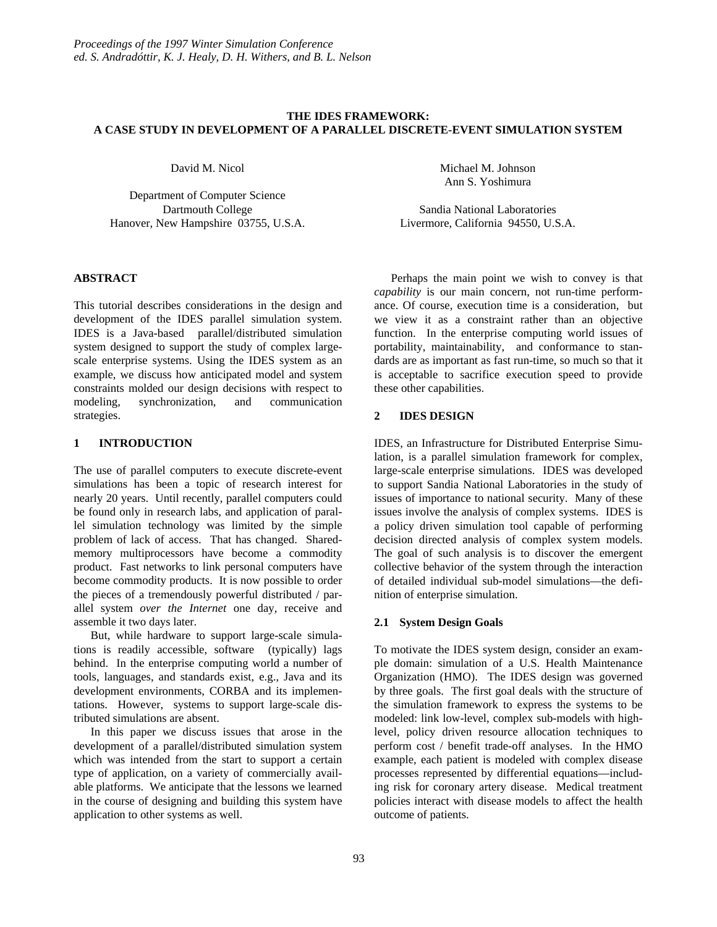# **THE IDES FRAMEWORK: A CASE STUDY IN DEVELOPMENT OF A PARALLEL DISCRETE-EVENT SIMULATION SYSTEM**

David M. Nicol

Department of Computer Science Dartmouth College Hanover, New Hampshire 03755, U.S.A.

## **ABSTRACT**

This tutorial describes considerations in the design and development of the IDES parallel simulation system. IDES is a Java-based parallel/distributed simulation system designed to support the study of complex largescale enterprise systems. Using the IDES system as an example, we discuss how anticipated model and system constraints molded our design decisions with respect to modeling, synchronization, and communication strategies.

# **1 INTRODUCTION**

The use of parallel computers to execute discrete-event simulations has been a topic of research interest for nearly 20 years. Until recently, parallel computers could be found only in research labs, and application of parallel simulation technology was limited by the simple problem of lack of access. That has changed. Sharedmemory multiprocessors have become a commodity product. Fast networks to link personal computers have become commodity products. It is now possible to order the pieces of a tremendously powerful distributed / parallel system *over the Internet* one day*,* receive and assemble it two days later.

But, while hardware to support large-scale simulations is readily accessible, software (typically) lags behind. In the enterprise computing world a number of tools, languages, and standards exist, e.g., Java and its development environments, CORBA and its implementations. However, systems to support large-scale distributed simulations are absent.

In this paper we discuss issues that arose in the development of a parallel/distributed simulation system which was intended from the start to support a certain type of application, on a variety of commercially available platforms. We anticipate that the lessons we learned in the course of designing and building this system have application to other systems as well.

Michael M. Johnson Ann S. Yoshimura

Sandia National Laboratories Livermore, California 94550, U.S.A.

Perhaps the main point we wish to convey is that *capability* is our main concern, not run-time performance. Of course, execution time is a consideration, but we view it as a constraint rather than an objective function. In the enterprise computing world issues of portability, maintainability, and conformance to standards are as important as fast run-time, so much so that it is acceptable to sacrifice execution speed to provide these other capabilities.

# **2 IDES DESIGN**

IDES, an Infrastructure for Distributed Enterprise Simulation, is a parallel simulation framework for complex, large-scale enterprise simulations. IDES was developed to support Sandia National Laboratories in the study of issues of importance to national security. Many of these issues involve the analysis of complex systems. IDES is a policy driven simulation tool capable of performing decision directed analysis of complex system models. The goal of such analysis is to discover the emergent collective behavior of the system through the interaction of detailed individual sub-model simulations—the definition of enterprise simulation.

# **2.1 System Design Goals**

To motivate the IDES system design, consider an example domain: simulation of a U.S. Health Maintenance Organization (HMO). The IDES design was governed by three goals. The first goal deals with the structure of the simulation framework to express the systems to be modeled: link low-level, complex sub-models with highlevel, policy driven resource allocation techniques to perform cost / benefit trade-off analyses. In the HMO example, each patient is modeled with complex disease processes represented by differential equations—including risk for coronary artery disease. Medical treatment policies interact with disease models to affect the health outcome of patients.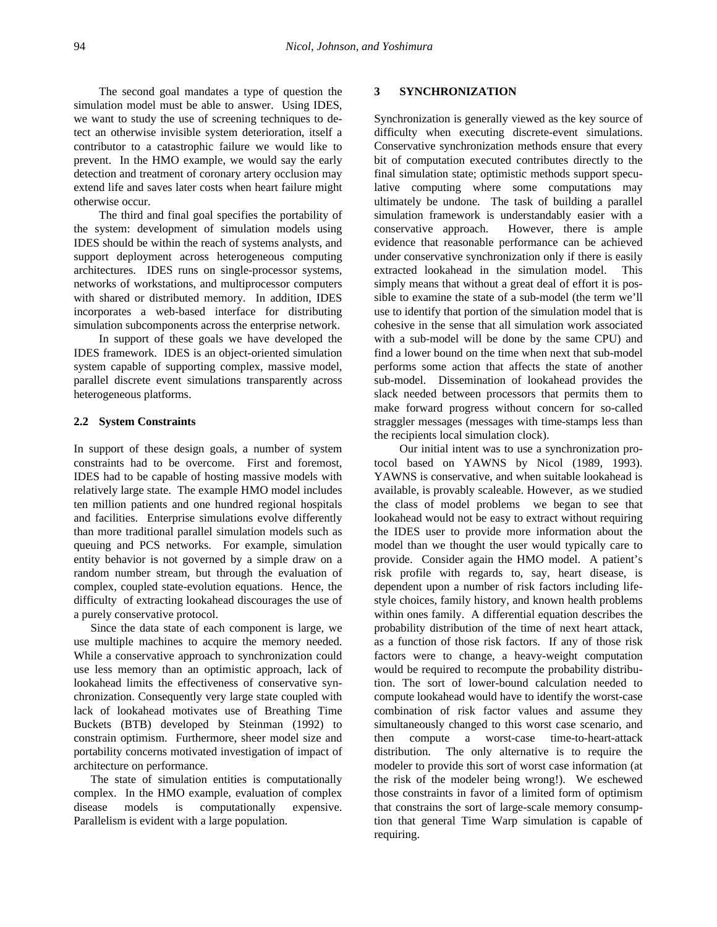The second goal mandates a type of question the simulation model must be able to answer. Using IDES, we want to study the use of screening techniques to detect an otherwise invisible system deterioration, itself a contributor to a catastrophic failure we would like to prevent. In the HMO example, we would say the early detection and treatment of coronary artery occlusion may extend life and saves later costs when heart failure might otherwise occur.

The third and final goal specifies the portability of the system: development of simulation models using IDES should be within the reach of systems analysts, and support deployment across heterogeneous computing architectures. IDES runs on single-processor systems, networks of workstations, and multiprocessor computers with shared or distributed memory. In addition, IDES incorporates a web-based interface for distributing simulation subcomponents across the enterprise network.

In support of these goals we have developed the IDES framework. IDES is an object-oriented simulation system capable of supporting complex, massive model, parallel discrete event simulations transparently across heterogeneous platforms.

#### **2.2 System Constraints**

In support of these design goals, a number of system constraints had to be overcome. First and foremost, IDES had to be capable of hosting massive models with relatively large state. The example HMO model includes ten million patients and one hundred regional hospitals and facilities. Enterprise simulations evolve differently than more traditional parallel simulation models such as queuing and PCS networks. For example, simulation entity behavior is not governed by a simple draw on a random number stream, but through the evaluation of complex, coupled state-evolution equations. Hence, the difficulty of extracting lookahead discourages the use of a purely conservative protocol.

Since the data state of each component is large, we use multiple machines to acquire the memory needed. While a conservative approach to synchronization could use less memory than an optimistic approach, lack of lookahead limits the effectiveness of conservative synchronization. Consequently very large state coupled with lack of lookahead motivates use of Breathing Time Buckets (BTB) developed by Steinman (1992) to constrain optimism. Furthermore, sheer model size and portability concerns motivated investigation of impact of architecture on performance.

The state of simulation entities is computationally complex. In the HMO example, evaluation of complex disease models is computationally expensive. Parallelism is evident with a large population.

### **3 SYNCHRONIZATION**

Synchronization is generally viewed as the key source of difficulty when executing discrete-event simulations. Conservative synchronization methods ensure that every bit of computation executed contributes directly to the final simulation state; optimistic methods support speculative computing where some computations may ultimately be undone. The task of building a parallel simulation framework is understandably easier with a conservative approach. However, there is ample evidence that reasonable performance can be achieved under conservative synchronization only if there is easily extracted lookahead in the simulation model. This simply means that without a great deal of effort it is possible to examine the state of a sub-model (the term we'll use to identify that portion of the simulation model that is cohesive in the sense that all simulation work associated with a sub-model will be done by the same CPU) and find a lower bound on the time when next that sub-model performs some action that affects the state of another sub-model. Dissemination of lookahead provides the slack needed between processors that permits them to make forward progress without concern for so-called straggler messages (messages with time-stamps less than the recipients local simulation clock).

Our initial intent was to use a synchronization protocol based on YAWNS by Nicol (1989, 1993). YAWNS is conservative, and when suitable lookahead is available, is provably scaleable. However, as we studied the class of model problems we began to see that lookahead would not be easy to extract without requiring the IDES user to provide more information about the model than we thought the user would typically care to provide. Consider again the HMO model. A patient's risk profile with regards to, say, heart disease, is dependent upon a number of risk factors including lifestyle choices, family history, and known health problems within ones family. A differential equation describes the probability distribution of the time of next heart attack, as a function of those risk factors. If any of those risk factors were to change, a heavy-weight computation would be required to recompute the probability distribution. The sort of lower-bound calculation needed to compute lookahead would have to identify the worst-case combination of risk factor values and assume they simultaneously changed to this worst case scenario, and then compute a worst-case time-to-heart-attack distribution. The only alternative is to require the modeler to provide this sort of worst case information (at the risk of the modeler being wrong!). We eschewed those constraints in favor of a limited form of optimism that constrains the sort of large-scale memory consumption that general Time Warp simulation is capable of requiring.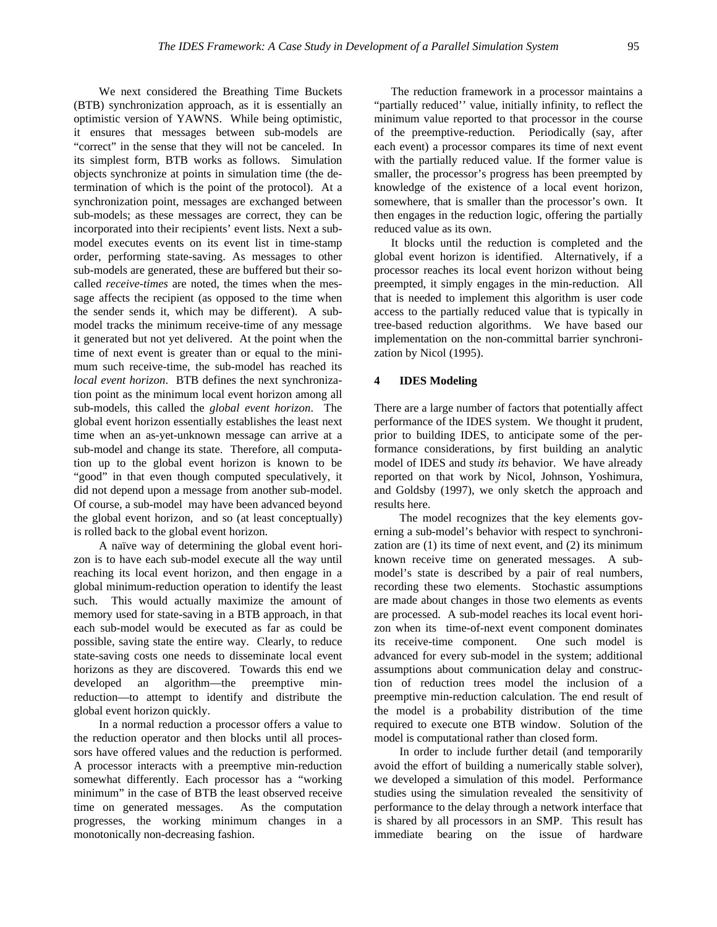We next considered the Breathing Time Buckets (BTB) synchronization approach, as it is essentially an optimistic version of YAWNS. While being optimistic, it ensures that messages between sub-models are "correct" in the sense that they will not be canceled. In its simplest form, BTB works as follows. Simulation objects synchronize at points in simulation time (the determination of which is the point of the protocol). At a synchronization point, messages are exchanged between sub-models; as these messages are correct, they can be incorporated into their recipients' event lists. Next a submodel executes events on its event list in time-stamp order, performing state-saving. As messages to other sub-models are generated, these are buffered but their socalled *receive-times* are noted, the times when the message affects the recipient (as opposed to the time when the sender sends it, which may be different). A submodel tracks the minimum receive-time of any message it generated but not yet delivered. At the point when the time of next event is greater than or equal to the minimum such receive-time, the sub-model has reached its *local event horizon*. BTB defines the next synchronization point as the minimum local event horizon among all sub-models, this called the *global event horizon*. The global event horizon essentially establishes the least next time when an as-yet-unknown message can arrive at a sub-model and change its state. Therefore, all computation up to the global event horizon is known to be "good" in that even though computed speculatively, it did not depend upon a message from another sub-model. Of course, a sub-model may have been advanced beyond the global event horizon, and so (at least conceptually) is rolled back to the global event horizon.

A naïve way of determining the global event horizon is to have each sub-model execute all the way until reaching its local event horizon, and then engage in a global minimum-reduction operation to identify the least such. This would actually maximize the amount of memory used for state-saving in a BTB approach, in that each sub-model would be executed as far as could be possible, saving state the entire way. Clearly, to reduce state-saving costs one needs to disseminate local event horizons as they are discovered. Towards this end we developed an algorithm—the preemptive minreduction—to attempt to identify and distribute the global event horizon quickly.

In a normal reduction a processor offers a value to the reduction operator and then blocks until all processors have offered values and the reduction is performed. A processor interacts with a preemptive min-reduction somewhat differently. Each processor has a "working minimum" in the case of BTB the least observed receive time on generated messages. As the computation progresses, the working minimum changes in a monotonically non-decreasing fashion.

The reduction framework in a processor maintains a "partially reduced'' value, initially infinity, to reflect the minimum value reported to that processor in the course of the preemptive-reduction. Periodically (say, after each event) a processor compares its time of next event with the partially reduced value. If the former value is smaller, the processor's progress has been preempted by knowledge of the existence of a local event horizon, somewhere, that is smaller than the processor's own. It then engages in the reduction logic, offering the partially reduced value as its own.

It blocks until the reduction is completed and the global event horizon is identified. Alternatively, if a processor reaches its local event horizon without being preempted, it simply engages in the min-reduction. All that is needed to implement this algorithm is user code access to the partially reduced value that is typically in tree-based reduction algorithms. We have based our implementation on the non-committal barrier synchronization by Nicol (1995).

### **4 IDES Modeling**

There are a large number of factors that potentially affect performance of the IDES system. We thought it prudent, prior to building IDES, to anticipate some of the performance considerations, by first building an analytic model of IDES and study *its* behavior. We have already reported on that work by Nicol, Johnson, Yoshimura, and Goldsby (1997), we only sketch the approach and results here.

The model recognizes that the key elements governing a sub-model's behavior with respect to synchronization are (1) its time of next event, and (2) its minimum known receive time on generated messages. A submodel's state is described by a pair of real numbers, recording these two elements. Stochastic assumptions are made about changes in those two elements as events are processed. A sub-model reaches its local event horizon when its time-of-next event component dominates its receive-time component. One such model is advanced for every sub-model in the system; additional assumptions about communication delay and construction of reduction trees model the inclusion of a preemptive min-reduction calculation. The end result of the model is a probability distribution of the time required to execute one BTB window. Solution of the model is computational rather than closed form.

In order to include further detail (and temporarily avoid the effort of building a numerically stable solver), we developed a simulation of this model. Performance studies using the simulation revealed the sensitivity of performance to the delay through a network interface that is shared by all processors in an SMP. This result has immediate bearing on the issue of hardware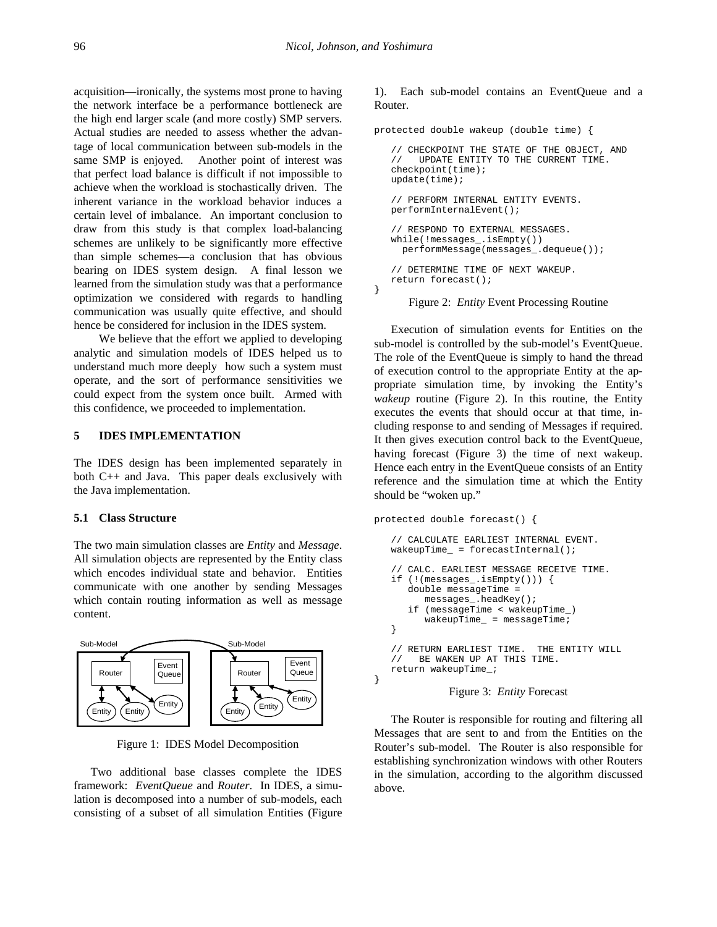}

}

acquisition—ironically, the systems most prone to having the network interface be a performance bottleneck are the high end larger scale (and more costly) SMP servers. Actual studies are needed to assess whether the advantage of local communication between sub-models in the same SMP is enjoyed. Another point of interest was that perfect load balance is difficult if not impossible to achieve when the workload is stochastically driven. The inherent variance in the workload behavior induces a certain level of imbalance. An important conclusion to draw from this study is that complex load-balancing schemes are unlikely to be significantly more effective than simple schemes—a conclusion that has obvious bearing on IDES system design. A final lesson we learned from the simulation study was that a performance optimization we considered with regards to handling communication was usually quite effective, and should hence be considered for inclusion in the IDES system.

We believe that the effort we applied to developing analytic and simulation models of IDES helped us to understand much more deeply how such a system must operate, and the sort of performance sensitivities we could expect from the system once built. Armed with this confidence, we proceeded to implementation.

### **5 IDES IMPLEMENTATION**

The IDES design has been implemented separately in both C++ and Java. This paper deals exclusively with the Java implementation.

#### **5.1 Class Structure**

The two main simulation classes are *Entity* and *Message*. All simulation objects are represented by the Entity class which encodes individual state and behavior. Entities communicate with one another by sending Messages which contain routing information as well as message content.



Figure 1: IDES Model Decomposition

Two additional base classes complete the IDES framework: *EventQueue* and *Router*. In IDES, a simulation is decomposed into a number of sub-models, each consisting of a subset of all simulation Entities (Figure

## 1). Each sub-model contains an EventQueue and a Router.

```
protected double wakeup (double time) {
```

```
// CHECKPOINT THE STATE OF THE OBJECT, AND
    UPDATE ENTITY TO THE CURRENT TIME.
checkpoint(time);
update(time);
// PERFORM INTERNAL ENTITY EVENTS.
performInternalEvent();
// RESPOND TO EXTERNAL MESSAGES.
while(!messages_.isEmpty())
   performMessage(messages_.dequeue());
// DETERMINE TIME OF NEXT WAKEUP.
return forecast();
```
### Figure 2: *Entity* Event Processing Routine

Execution of simulation events for Entities on the sub-model is controlled by the sub-model's EventQueue. The role of the EventQueue is simply to hand the thread of execution control to the appropriate Entity at the appropriate simulation time, by invoking the Entity's *wakeup* routine (Figure 2). In this routine, the Entity executes the events that should occur at that time, including response to and sending of Messages if required. It then gives execution control back to the EventQueue, having forecast (Figure 3) the time of next wakeup. Hence each entry in the EventQueue consists of an Entity reference and the simulation time at which the Entity should be "woken up."

```
protected double forecast() {
```

```
// CALCULATE EARLIEST INTERNAL EVENT.
wakeupTime = forecastInternal();
// CALC. EARLIEST MESSAGE RECEIVE TIME.
if (!(messages_.isEmpty())) {
   double messageTime =
      messages_.headKey();
   if (messageTime < wakeupTime_)
      wakeupTime_ = messageTime;
}
// RETURN EARLIEST TIME. THE ENTITY WILL
// BE WAKEN UP AT THIS TIME.
return wakeupTime_;
```
Figure 3: *Entity* Forecast

The Router is responsible for routing and filtering all Messages that are sent to and from the Entities on the Router's sub-model. The Router is also responsible for establishing synchronization windows with other Routers in the simulation, according to the algorithm discussed above.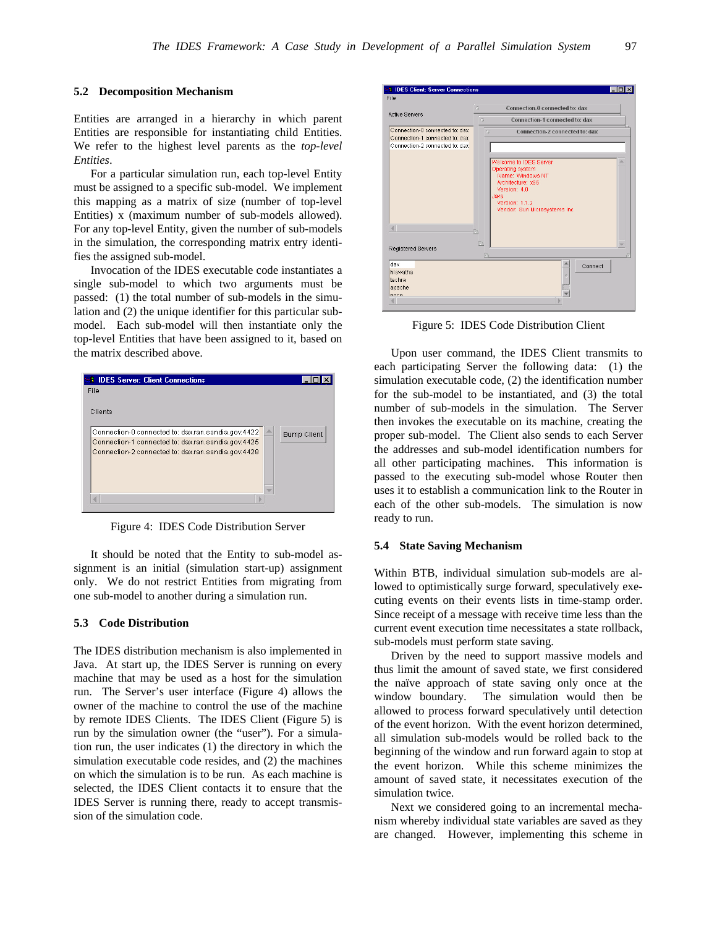#### **5.2 Decomposition Mechanism**

Entities are arranged in a hierarchy in which parent Entities are responsible for instantiating child Entities. We refer to the highest level parents as the *top-level Entities*.

For a particular simulation run, each top-level Entity must be assigned to a specific sub-model. We implement this mapping as a matrix of size (number of top-level Entities) x (maximum number of sub-models allowed). For any top-level Entity, given the number of sub-models in the simulation, the corresponding matrix entry identifies the assigned sub-model.

Invocation of the IDES executable code instantiates a single sub-model to which two arguments must be passed: (1) the total number of sub-models in the simulation and (2) the unique identifier for this particular submodel. Each sub-model will then instantiate only the top-level Entities that have been assigned to it, based on the matrix described above.

| <b>B IDES Server: Client Connections</b>           |                    |
|----------------------------------------------------|--------------------|
| File                                               |                    |
| Clients                                            |                    |
| Connection-0 connected to: dax.ran.sandia.gov:4422 | <b>Bump Client</b> |
| Connection-1 connected to: dax.ran.sandia.gov:4425 |                    |
| Connection-2 connected to: dax.ran.sandia.gov:4428 |                    |
|                                                    |                    |
|                                                    |                    |
|                                                    |                    |
|                                                    |                    |
|                                                    |                    |

Figure 4: IDES Code Distribution Server

It should be noted that the Entity to sub-model assignment is an initial (simulation start-up) assignment only. We do not restrict Entities from migrating from one sub-model to another during a simulation run.

### **5.3 Code Distribution**

The IDES distribution mechanism is also implemented in Java. At start up, the IDES Server is running on every machine that may be used as a host for the simulation run. The Server's user interface (Figure 4) allows the owner of the machine to control the use of the machine by remote IDES Clients. The IDES Client (Figure 5) is run by the simulation owner (the "user"). For a simulation run, the user indicates (1) the directory in which the simulation executable code resides, and (2) the machines on which the simulation is to be run. As each machine is selected, the IDES Client contacts it to ensure that the IDES Server is running there, ready to accept transmission of the simulation code.



Figure 5: IDES Code Distribution Client

Upon user command, the IDES Client transmits to each participating Server the following data: (1) the simulation executable code, (2) the identification number for the sub-model to be instantiated, and (3) the total number of sub-models in the simulation. The Server then invokes the executable on its machine, creating the proper sub-model. The Client also sends to each Server the addresses and sub-model identification numbers for all other participating machines. This information is passed to the executing sub-model whose Router then uses it to establish a communication link to the Router in each of the other sub-models. The simulation is now ready to run.

### **5.4 State Saving Mechanism**

Within BTB, individual simulation sub-models are allowed to optimistically surge forward, speculatively executing events on their events lists in time-stamp order. Since receipt of a message with receive time less than the current event execution time necessitates a state rollback, sub-models must perform state saving.

Driven by the need to support massive models and thus limit the amount of saved state, we first considered the naïve approach of state saving only once at the window boundary. The simulation would then be allowed to process forward speculatively until detection of the event horizon. With the event horizon determined, all simulation sub-models would be rolled back to the beginning of the window and run forward again to stop at the event horizon. While this scheme minimizes the amount of saved state, it necessitates execution of the simulation twice.

Next we considered going to an incremental mechanism whereby individual state variables are saved as they are changed. However, implementing this scheme in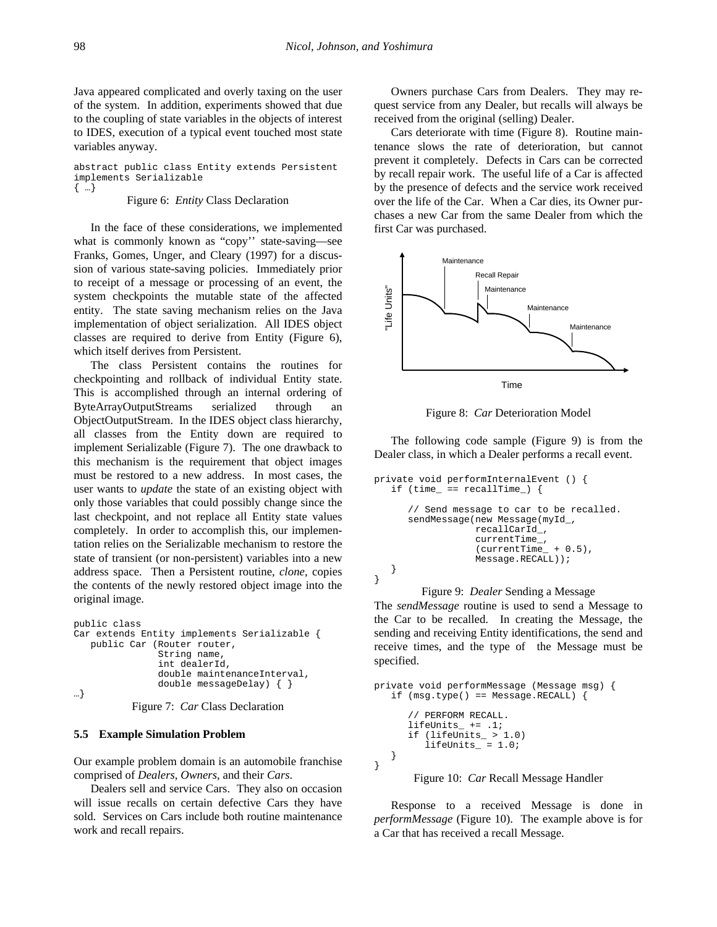Java appeared complicated and overly taxing on the user of the system. In addition, experiments showed that due to the coupling of state variables in the objects of interest to IDES, execution of a typical event touched most state variables anyway.

abstract public class Entity extends Persistent implements Serializable { …}

#### Figure 6: *Entity* Class Declaration

In the face of these considerations, we implemented what is commonly known as "copy'' state-saving—see Franks, Gomes, Unger, and Cleary (1997) for a discussion of various state-saving policies. Immediately prior to receipt of a message or processing of an event, the system checkpoints the mutable state of the affected entity. The state saving mechanism relies on the Java implementation of object serialization. All IDES object classes are required to derive from Entity (Figure 6), which itself derives from Persistent.

The class Persistent contains the routines for checkpointing and rollback of individual Entity state. This is accomplished through an internal ordering of ByteArrayOutputStreams serialized through an ObjectOutputStream. In the IDES object class hierarchy, all classes from the Entity down are required to implement Serializable (Figure 7). The one drawback to this mechanism is the requirement that object images must be restored to a new address. In most cases, the user wants to *update* the state of an existing object with only those variables that could possibly change since the last checkpoint, and not replace all Entity state values completely. In order to accomplish this, our implementation relies on the Serializable mechanism to restore the state of transient (or non-persistent) variables into a new address space. Then a Persistent routine, *clone*, copies the contents of the newly restored object image into the original image.

```
public class
Car extends Entity implements Serializable {
   public Car (Router router,
               String name,
               int dealerId,
               double maintenanceInterval,
               double messageDelay) { }
…}
```

```
Figure 7: Car Class Declaration
```
### **5.5 Example Simulation Problem**

Our example problem domain is an automobile franchise comprised of *Dealers*, *Owners*, and their *Cars*.

Dealers sell and service Cars. They also on occasion will issue recalls on certain defective Cars they have sold. Services on Cars include both routine maintenance work and recall repairs.

Owners purchase Cars from Dealers. They may request service from any Dealer, but recalls will always be received from the original (selling) Dealer.

Cars deteriorate with time (Figure 8). Routine maintenance slows the rate of deterioration, but cannot prevent it completely. Defects in Cars can be corrected by recall repair work. The useful life of a Car is affected by the presence of defects and the service work received over the life of the Car. When a Car dies, its Owner purchases a new Car from the same Dealer from which the first Car was purchased.



Figure 8: *Car* Deterioration Model

The following code sample (Figure 9) is from the Dealer class, in which a Dealer performs a recall event.

```
private void performInternalEvent () {
   if (time_ == recallTime_) {
      // Send message to car to be recalled.
      sendMessage(new Message(myId_,
                  recallCarId_,
                  currentTime_,
                   (currentTime_ + 0.5),
                  Message.RECALL));
   }
}
```
#### Figure 9: *Dealer* Sending a Message

The *sendMessage* routine is used to send a Message to the Car to be recalled. In creating the Message, the sending and receiving Entity identifications, the send and receive times, and the type of the Message must be specified.

```
private void performMessage (Message msg) {
    if (msg.type() == Message.RECALL) {
      // PERFORM RECALL.
      lifeUnits_ += .1;
      if (lifeUnits_ > 1.0)
         lifelmits_ = 1.0;}
}
```
Figure 10: *Car* Recall Message Handler

Response to a received Message is done in *performMessage* (Figure 10). The example above is for a Car that has received a recall Message.